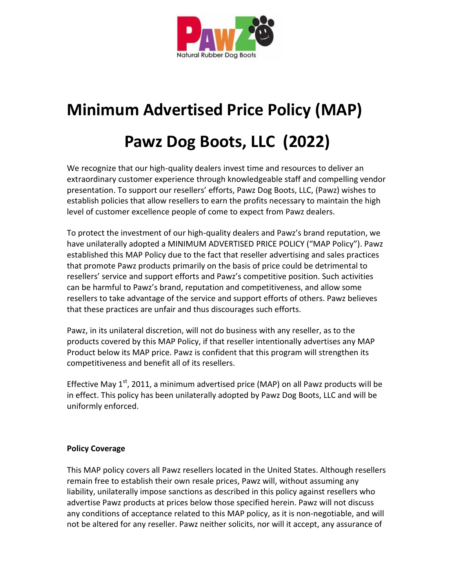

# **Minimum Advertised Price Policy (MAP)**

# **Pawz Dog Boots, LLC (2022)**

We recognize that our high-quality dealers invest time and resources to deliver an extraordinary customer experience through knowledgeable staff and compelling vendor presentation. To support our resellers' efforts, Pawz Dog Boots, LLC, (Pawz) wishes to establish policies that allow resellers to earn the profits necessary to maintain the high level of customer excellence people of come to expect from Pawz dealers.

To protect the investment of our high-quality dealers and Pawz's brand reputation, we have unilaterally adopted a MINIMUM ADVERTISED PRICE POLICY ("MAP Policy"). Pawz established this MAP Policy due to the fact that reseller advertising and sales practices that promote Pawz products primarily on the basis of price could be detrimental to resellers' service and support efforts and Pawz's competitive position. Such activities can be harmful to Pawz's brand, reputation and competitiveness, and allow some resellers to take advantage of the service and support efforts of others. Pawz believes that these practices are unfair and thus discourages such efforts.

Pawz, in its unilateral discretion, will not do business with any reseller, as to the products covered by this MAP Policy, if that reseller intentionally advertises any MAP Product below its MAP price. Pawz is confident that this program will strengthen its competitiveness and benefit all of its resellers.

Effective May  $1<sup>st</sup>$ , 2011, a minimum advertised price (MAP) on all Pawz products will be in effect. This policy has been unilaterally adopted by Pawz Dog Boots, LLC and will be uniformly enforced.

## **Policy Coverage**

This MAP policy covers all Pawz resellers located in the United States. Although resellers remain free to establish their own resale prices, Pawz will, without assuming any liability, unilaterally impose sanctions as described in this policy against resellers who advertise Pawz products at prices below those specified herein. Pawz will not discuss any conditions of acceptance related to this MAP policy, as it is non-negotiable, and will not be altered for any reseller. Pawz neither solicits, nor will it accept, any assurance of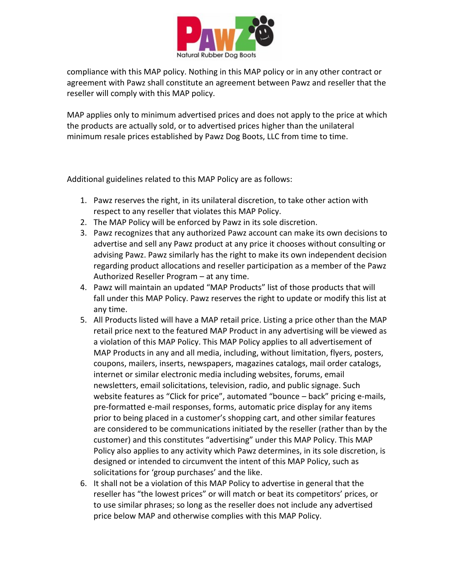

compliance with this MAP policy. Nothing in this MAP policy or in any other contract or agreement with Pawz shall constitute an agreement between Pawz and reseller that the reseller will comply with this MAP policy.

MAP applies only to minimum advertised prices and does not apply to the price at which the products are actually sold, or to advertised prices higher than the unilateral minimum resale prices established by Pawz Dog Boots, LLC from time to time.

Additional guidelines related to this MAP Policy are as follows:

- 1. Pawz reserves the right, in its unilateral discretion, to take other action with respect to any reseller that violates this MAP Policy.
- 2. The MAP Policy will be enforced by Pawz in its sole discretion.
- 3. Pawz recognizes that any authorized Pawz account can make its own decisions to advertise and sell any Pawz product at any price it chooses without consulting or advising Pawz. Pawz similarly has the right to make its own independent decision regarding product allocations and reseller participation as a member of the Pawz Authorized Reseller Program – at any time.
- 4. Pawz will maintain an updated "MAP Products" list of those products that will fall under this MAP Policy. Pawz reserves the right to update or modify this list at any time.
- 5. All Products listed will have a MAP retail price. Listing a price other than the MAP retail price next to the featured MAP Product in any advertising will be viewed as a violation of this MAP Policy. This MAP Policy applies to all advertisement of MAP Products in any and all media, including, without limitation, flyers, posters, coupons, mailers, inserts, newspapers, magazines catalogs, mail order catalogs, internet or similar electronic media including websites, forums, email newsletters, email solicitations, television, radio, and public signage. Such website features as "Click for price", automated "bounce – back" pricing e-mails, pre-formatted e-mail responses, forms, automatic price display for any items prior to being placed in a customer's shopping cart, and other similar features are considered to be communications initiated by the reseller (rather than by the customer) and this constitutes "advertising" under this MAP Policy. This MAP Policy also applies to any activity which Pawz determines, in its sole discretion, is designed or intended to circumvent the intent of this MAP Policy, such as solicitations for 'group purchases' and the like.
- 6. It shall not be a violation of this MAP Policy to advertise in general that the reseller has "the lowest prices" or will match or beat its competitors' prices, or to use similar phrases; so long as the reseller does not include any advertised price below MAP and otherwise complies with this MAP Policy.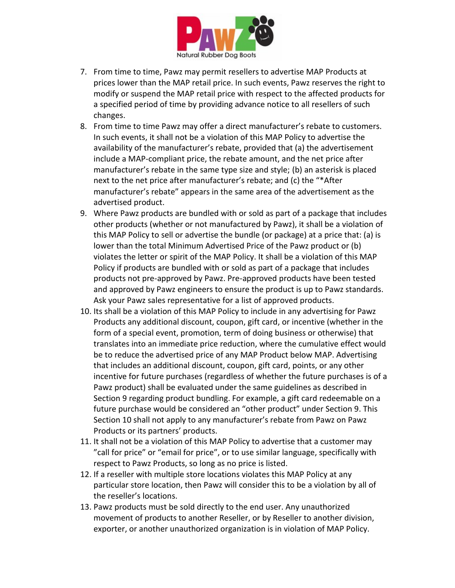

- 7. From time to time, Pawz may permit resellers to advertise MAP Products at prices lower than the MAP retail price. In such events, Pawz reserves the right to modify or suspend the MAP retail price with respect to the affected products for a specified period of time by providing advance notice to all resellers of such changes.
- 8. From time to time Pawz may offer a direct manufacturer's rebate to customers. In such events, it shall not be a violation of this MAP Policy to advertise the availability of the manufacturer's rebate, provided that (a) the advertisement include a MAP-compliant price, the rebate amount, and the net price after manufacturer's rebate in the same type size and style; (b) an asterisk is placed next to the net price after manufacturer's rebate; and (c) the "\*After manufacturer's rebate" appears in the same area of the advertisement as the advertised product.
- 9. Where Pawz products are bundled with or sold as part of a package that includes other products (whether or not manufactured by Pawz), it shall be a violation of this MAP Policy to sell or advertise the bundle (or package) at a price that: (a) is lower than the total Minimum Advertised Price of the Pawz product or (b) violates the letter or spirit of the MAP Policy. It shall be a violation of this MAP Policy if products are bundled with or sold as part of a package that includes products not pre-approved by Pawz. Pre-approved products have been tested and approved by Pawz engineers to ensure the product is up to Pawz standards. Ask your Pawz sales representative for a list of approved products.
- 10. Its shall be a violation of this MAP Policy to include in any advertising for Pawz Products any additional discount, coupon, gift card, or incentive (whether in the form of a special event, promotion, term of doing business or otherwise) that translates into an immediate price reduction, where the cumulative effect would be to reduce the advertised price of any MAP Product below MAP. Advertising that includes an additional discount, coupon, gift card, points, or any other incentive for future purchases (regardless of whether the future purchases is of a Pawz product) shall be evaluated under the same guidelines as described in Section 9 regarding product bundling. For example, a gift card redeemable on a future purchase would be considered an "other product" under Section 9. This Section 10 shall not apply to any manufacturer's rebate from Pawz on Pawz Products or its partners' products.
- 11. It shall not be a violation of this MAP Policy to advertise that a customer may "call for price" or "email for price", or to use similar language, specifically with respect to Pawz Products, so long as no price is listed.
- 12. If a reseller with multiple store locations violates this MAP Policy at any particular store location, then Pawz will consider this to be a violation by all of the reseller's locations.
- 13. Pawz products must be sold directly to the end user. Any unauthorized movement of products to another Reseller, or by Reseller to another division, exporter, or another unauthorized organization is in violation of MAP Policy.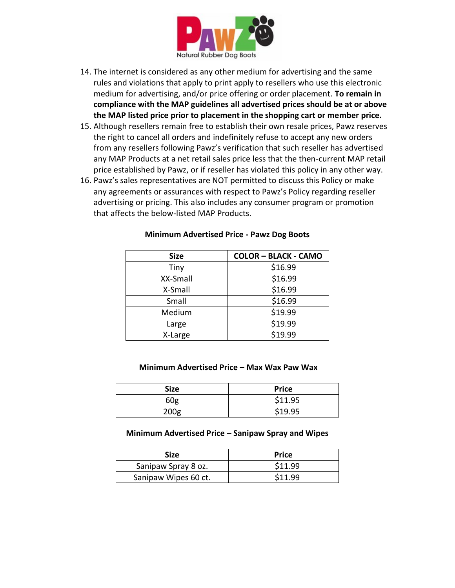

- 14. The internet is considered as any other medium for advertising and the same rules and violations that apply to print apply to resellers who use this electronic medium for advertising, and/or price offering or order placement. **To remain in compliance with the MAP guidelines all advertised prices should be at or above the MAP listed price prior to placement in the shopping cart or member price.**
- 15. Although resellers remain free to establish their own resale prices, Pawz reserves the right to cancel all orders and indefinitely refuse to accept any new orders from any resellers following Pawz's verification that such reseller has advertised any MAP Products at a net retail sales price less that the then-current MAP retail price established by Pawz, or if reseller has violated this policy in any other way.
- 16. Pawz's sales representatives are NOT permitted to discuss this Policy or make any agreements or assurances with respect to Pawz's Policy regarding reseller advertising or pricing. This also includes any consumer program or promotion that affects the below-listed MAP Products.

| <b>Size</b> | <b>COLOR - BLACK - CAMO</b> |
|-------------|-----------------------------|
| Tiny        | \$16.99                     |
| XX-Small    | \$16.99                     |
| X-Small     | \$16.99                     |
| Small       | \$16.99                     |
| Medium      | \$19.99                     |
| Large       | \$19.99                     |
| X-Large     | \$19.99                     |

#### **Minimum Advertised Price - Pawz Dog Boots**

#### **Minimum Advertised Price – Max Wax Paw Wax**

| <b>Size</b>      | <b>Price</b> |
|------------------|--------------|
| 60 <sub>g</sub>  | \$11.95      |
| 200 <sub>g</sub> | \$19.95      |

#### **Minimum Advertised Price – Sanipaw Spray and Wipes**

| Size                 | <b>Price</b> |
|----------------------|--------------|
| Sanipaw Spray 8 oz.  | \$11.99      |
| Sanipaw Wipes 60 ct. | \$11.99      |